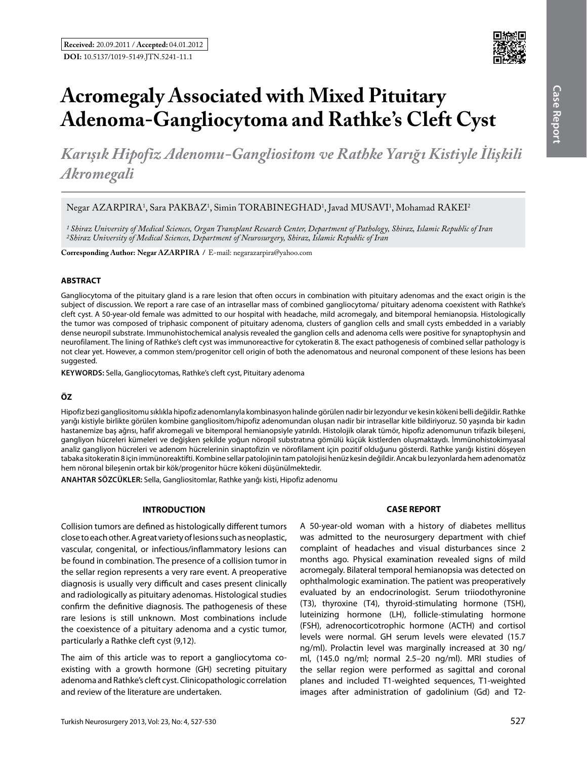

# **Acromegaly Associated with Mixed Pituitary Adenoma-Gangliocytoma and Rathke's Cleft Cyst**

*Karışık Hipofiz Adenomu-Gangliositom ve Rathke Yarığı Kistiyle İlişkili Akromegali*

Negar AZARPIRA<sup>1</sup>, Sara PAKBAZ<sup>1</sup>, Simin TORABINEGHAD<sup>1</sup>, Javad MUSAVI<sup>1</sup>, Mohamad RAKEI<sup>2</sup>

*1 Shiraz University of Medical Sciences, Organ Transplant Research Center, Department of Pathology, Shiraz, Islamic Republic of Iran 2Shiraz University of Medical Sciences, Department of Neurosurgery, Shiraz, Islamic Republic of Iran*

**Corresponding Author: Negar Azarpıra /** E-mail: negarazarpira@yahoo.com

#### **ABSTRACT**

Gangliocytoma of the pituitary gland is a rare lesion that often occurs in combination with pituitary adenomas and the exact origin is the subject of discussion. We report a rare case of an intrasellar mass of combined gangliocytoma/ pituitary adenoma coexistent with Rathke's cleft cyst. A 50-year-old female was admitted to our hospital with headache, mild acromegaly, and bitemporal hemianopsia. Histologically the tumor was composed of triphasic component of pituitary adenoma, clusters of ganglion cells and small cysts embedded in a variably dense neuropil substrate. Immunohistochemical analysis revealed the ganglion cells and adenoma cells were positive for synaptophysin and neurofilament. The lining of Rathke's cleft cyst was immunoreactive for cytokeratin 8. The exact pathogenesis of combined sellar pathology is not clear yet. However, a common stem/progenitor cell origin of both the adenomatous and neuronal component of these lesions has been suggested.

**Keywords:** Sella, Gangliocytomas, Rathke's cleft cyst, Pituitary adenoma

### **ÖZ**

Hipofiz bezi gangliositomu sıklıkla hipofiz adenomlarıyla kombinasyon halinde görülen nadir bir lezyondur ve kesin kökeni belli değildir. Rathke yarığı kistiyle birlikte görülen kombine gangliositom/hipofiz adenomundan oluşan nadir bir intrasellar kitle bildiriyoruz. 50 yaşında bir kadın hastanemize baş ağrısı, hafif akromegali ve bitemporal hemianopsiyle yatırıldı. Histolojik olarak tümör, hipofiz adenomunun trifazik bileşeni, gangliyon hücreleri kümeleri ve değişken şekilde yoğun nöropil substratına gömülü küçük kistlerden oluşmaktaydı. İmmünohistokimyasal analiz gangliyon hücreleri ve adenom hücrelerinin sinaptofizin ve nörofilament için pozitif olduğunu gösterdi. Rathke yarığı kistini döşeyen tabaka sitokeratin 8 için immünoreaktifti. Kombine sellar patolojinin tam patolojisi henüz kesin değildir. Ancak bu lezyonlarda hem adenomatöz hem nöronal bileşenin ortak bir kök/progenitor hücre kökeni düşünülmektedir.

**ANAHTAR SÖZCÜKLER:** Sella, Gangliositomlar, Rathke yarığı kisti, Hipofiz adenomu

# **INTRODUCTION**

Collision tumors are defined as histologically different tumors close to each other. A great variety of lesions such as neoplastic, vascular, congenital, or infectious/inflammatory lesions can be found in combination. The presence of a collision tumor in the sellar region represents a very rare event. A preoperative diagnosis is usually very difficult and cases present clinically and radiologically as pituitary adenomas. Histological studies confirm the definitive diagnosis. The pathogenesis of these rare lesions is still unknown. Most combinations include the coexistence of a pituitary adenoma and a cystic tumor, particularly a Rathke cleft cyst (9,12).

The aim of this article was to report a gangliocytoma coexisting with a growth hormone (GH) secreting pituitary adenoma and Rathke's cleft cyst. Clinicopathologic correlation and review of the literature are undertaken.

### **CASE REPORT**

A 50-year-old woman with a history of diabetes mellitus was admitted to the neurosurgery department with chief complaint of headaches and visual disturbances since 2 months ago. Physical examination revealed signs of mild acromegaly. Bilateral temporal hemianopsia was detected on ophthalmologic examination. The patient was preoperatively evaluated by an endocrinologist. Serum triiodothyronine (T3), thyroxine (T4), thyroid-stimulating hormone (TSH), luteinizing hormone (LH), follicle-stimulating hormone (FSH), adrenocorticotrophic hormone (ACTH) and cortisol levels were normal. GH serum levels were elevated (15.7 ng/ml). Prolactin level was marginally increased at 30 ng/ ml, (145.0 ng/ml; normal 2.5–20 ng/ml). MRI studies of the sellar region were performed as sagittal and coronal planes and included T1-weighted sequences, T1-weighted images after administration of gadolinium (Gd) and T2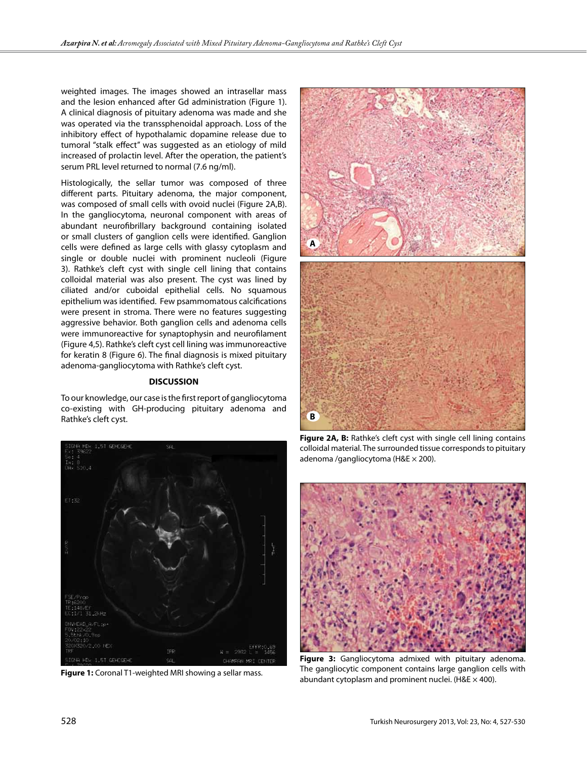weighted images. The images showed an intrasellar mass and the lesion enhanced after Gd administration (Figure 1). A clinical diagnosis of pituitary adenoma was made and she was operated via the transsphenoidal approach. Loss of the inhibitory effect of hypothalamic dopamine release due to tumoral "stalk effect" was suggested as an etiology of mild increased of prolactin level. After the operation, the patient's serum PRL level returned to normal (7.6 ng/ml).

Histologically, the sellar tumor was composed of three different parts. Pituitary adenoma, the major component, was composed of small cells with ovoid nuclei (Figure 2A,B). In the gangliocytoma, neuronal component with areas of abundant neurofibrillary background containing isolated or small clusters of ganglion cells were identified. Ganglion cells were defined as large cells with glassy cytoplasm and single or double nuclei with prominent nucleoli (Figure 3). Rathke's cleft cyst with single cell lining that contains colloidal material was also present. The cyst was lined by ciliated and/or cuboidal epithelial cells. No squamous epithelium was identified. Few psammomatous calcifications were present in stroma. There were no features suggesting aggressive behavior. Both ganglion cells and adenoma cells were immunoreactive for synaptophysin and neurofilament (Figure 4,5). Rathke's cleft cyst cell lining was immunoreactive for keratin 8 (Figure 6). The final diagnosis is mixed pituitary adenoma-gangliocytoma with Rathke's cleft cyst.

# **DISCUSSION**

To our knowledge, our case is the first report of gangliocytoma co-existing with GH-producing pituitary adenoma and Rathke's cleft cyst.



**Figure 1:** Coronal T1-weighted MRI showing a sellar mass.



**Figure 2A, B:** Rathke's cleft cyst with single cell lining contains colloidal material. The surrounded tissue corresponds to pituitary adenoma /gangliocytoma ( $H&E \times 200$ ).



**Figure 3:** Gangliocytoma admixed with pituitary adenoma. The gangliocytic component contains large ganglion cells with abundant cytoplasm and prominent nuclei. (H&E  $\times$  400).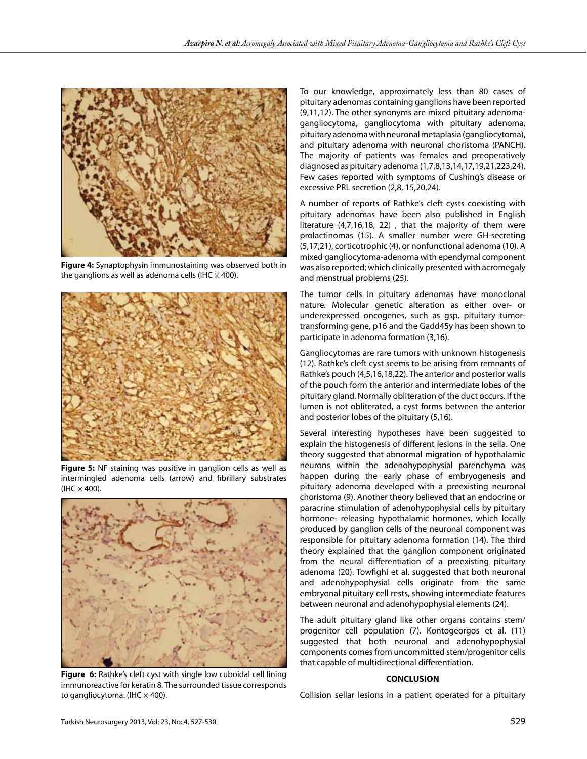

**Figure 4:** Synaptophysin immunostaining was observed both in the ganglions as well as adenoma cells (IHC  $\times$  400).



**Figure 5:** NF staining was positive in ganglion cells as well as intermingled adenoma cells (arrow) and fibrillary substrates  $(IIIC \times 400).$ 



**Figure 6:** Rathke's cleft cyst with single low cuboidal cell lining immunoreactive for keratin 8. The surrounded tissue corresponds to gangliocytoma. (IHC  $\times$  400).

To our knowledge, approximately less than 80 cases of pituitary adenomas containing ganglions have been reported (9,11,12). The other synonyms are mixed pituitary adenomagangliocytoma, gangliocytoma with pituitary adenoma, pituitary adenoma with neuronal metaplasia (gangliocytoma), and pituitary adenoma with neuronal choristoma (PANCH). The majority of patients was females and preoperatively diagnosed as pituitary adenoma (1,7,8,13,14,17,19,21,223,24). Few cases reported with symptoms of Cushing's disease or excessive PRL secretion (2,8, 15,20,24).

A number of reports of Rathke's cleft cysts coexisting with pituitary adenomas have been also published in English literature (4,7,16,18, 22) , that the majority of them were prolactinomas (15). A smaller number were GH-secreting (5,17,21), corticotrophic (4), or nonfunctional adenoma (10). A mixed gangliocytoma-adenoma with ependymal component was also reported; which clinically presented with acromegaly and menstrual problems (25).

The tumor cells in pituitary adenomas have monoclonal nature. Molecular genetic alteration as either over- or underexpressed oncogenes, such as gsp, pituitary tumortransforming gene, p16 and the Gadd45y has been shown to participate in adenoma formation (3,16).

Gangliocytomas are rare tumors with unknown histogenesis (12). Rathke's cleft cyst seems to be arising from remnants of Rathke's pouch (4,5,16,18,22). The anterior and posterior walls of the pouch form the anterior and intermediate lobes of the pituitary gland. Normally obliteration of the duct occurs. If the lumen is not obliterated, a cyst forms between the anterior and posterior lobes of the pituitary (5,16).

Several interesting hypotheses have been suggested to explain the histogenesis of different lesions in the sella. One theory suggested that abnormal migration of hypothalamic neurons within the adenohypophysial parenchyma was happen during the early phase of embryogenesis and pituitary adenoma developed with a preexisting neuronal choristoma (9). Another theory believed that an endocrine or paracrine stimulation of adenohypophysial cells by pituitary hormone- releasing hypothalamic hormones, which locally produced by ganglion cells of the neuronal component was responsible for pituitary adenoma formation (14). The third theory explained that the ganglion component originated from the neural differentiation of a preexisting pituitary adenoma (20). Towfighi et al. suggested that both neuronal and adenohypophysial cells originate from the same embryonal pituitary cell rests, showing intermediate features between neuronal and adenohypophysial elements (24).

The adult pituitary gland like other organs contains stem/ progenitor cell population (7). Kontogeorgos et al. (11) suggested that both neuronal and adenohypophysial components comes from uncommitted stem/progenitor cells that capable of multidirectional differentiation.

#### **CONCLUSION**

Collision sellar lesions in a patient operated for a pituitary